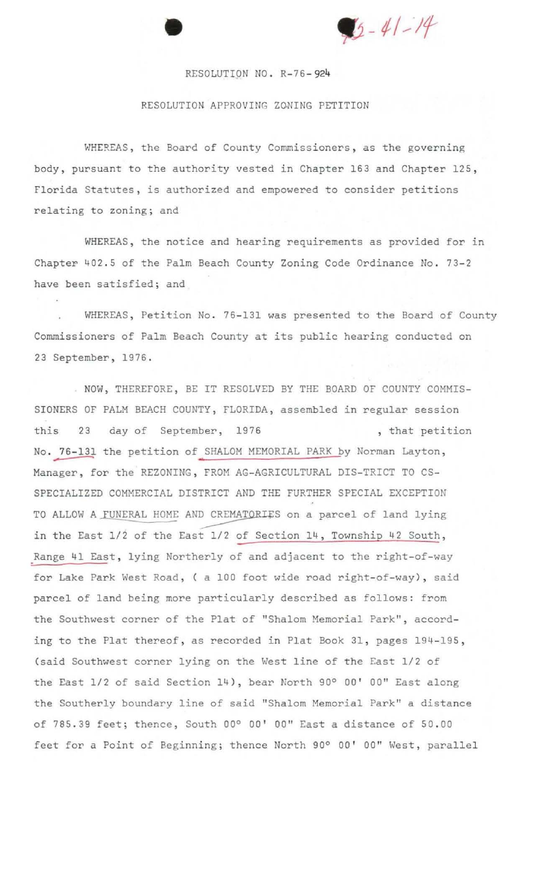$15 - 41 - 14$ 

## RESOLUTION NO. R-76-924

•

## RESOLUTION APPROVING ZONING PETITION

WHEREAS, the Board of County Commissioners, as the governing **body , pursuant to the authority vested in Chapter 163 and Chapter 125 , Florida Statutes , is authorized and empowered to consider petitions re lating to zoning; and** 

**WHEREAS, the notice and hearing requirements as provided for in Chapter 402 . 5 of the Palm Beach County Zoning Code Ordinance** *No . 73 - 2*  **have been satisfied; and** 

WHEREAS, Petition No. 76-131 was presented to the Board of County **Commissioners of Palm Beach County at its public hearing conducted on 23 September, 1976 .** 

. NOW, THEREFORE, BE IT RESOLVED BY THE BOARD OF COUNTY COMMIS-**SIONERS OF PALM BEACH COUNTY , FLORIDA, assembled in regular session <sup>t</sup> <sup>h</sup> is** 23 **day of September, 1976** , **that petition**  No. 76-131 the petition of SHALOM MEMORIAL PARK by Norman Layton, Manager, for the REZONING, FROM AG-AGRICULTURAL DIS-TRICT TO CS-SPECIALIZED COMMERCIAL DISTRICT AND THE FURTHER SPECIAL EXCEPTION TO ALLOW A FUNERAL HOME AND CREMATORIES on a parcel of land lying **<sup>I</sup> n the East** *1/2* **of the East** *1/2* **of Section 14, Township 42 South ,**  Range 41 East, lying Northerly of and adjacent to the right-of-way for Lake Park West Road, ( a 100 foot wide road right-of-way), said **par cel of land being more particularly described as follows: from the Southwest corner of the Plat of "Shalom Memorial Park", according to the Plat thereof, as recorded in Plat Book 31, pages 194-195,**  (said Southwest corner lying on the West line of the East 1/2 of **the East** *1/2* **of said Section 14) , bear North 90° AD ' oolt East along the Southerly boundary line of said "Shalom Memorial Park ll a distance**  of 785.39 feet; thence, South 00° 00' 00" East a distance of 50.00 feet for a Point of Beginning; thence North 90° 00' 00" West, parallel